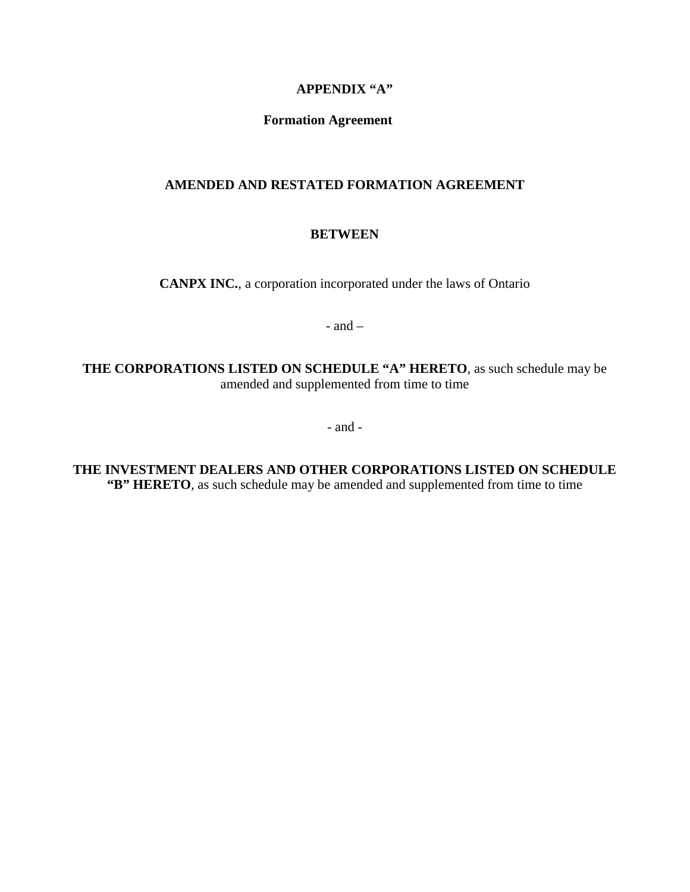### **APPENDIX "A"**

### **Formation Agreement**

### **AMENDED AND RESTATED FORMATION AGREEMENT**

### **BETWEEN**

**CANPX INC.**, a corporation incorporated under the laws of Ontario

- and –

**THE CORPORATIONS LISTED ON SCHEDULE "A" HERETO**, as such schedule may be amended and supplemented from time to time

- and -

**THE INVESTMENT DEALERS AND OTHER CORPORATIONS LISTED ON SCHEDULE "B" HERETO**, as such schedule may be amended and supplemented from time to time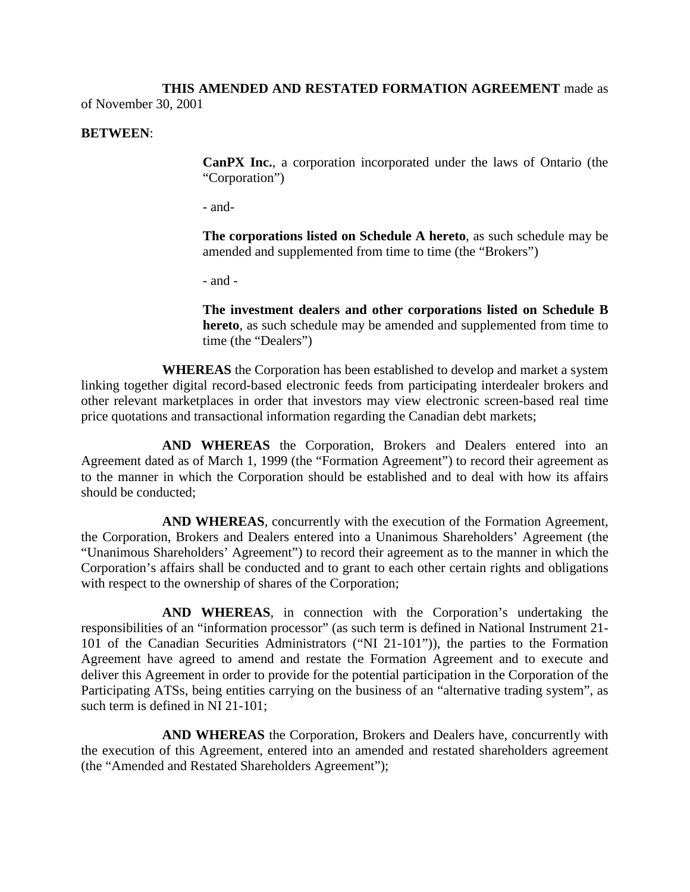### **THIS AMENDED AND RESTATED FORMATION AGREEMENT** made as of November 30, 2001

#### **BETWEEN**:

**CanPX Inc.**, a corporation incorporated under the laws of Ontario (the "Corporation")

- and-

**The corporations listed on Schedule A hereto**, as such schedule may be amended and supplemented from time to time (the "Brokers")

- and -

**The investment dealers and other corporations listed on Schedule B hereto**, as such schedule may be amended and supplemented from time to time (the "Dealers")

**WHEREAS** the Corporation has been established to develop and market a system linking together digital record-based electronic feeds from participating interdealer brokers and other relevant marketplaces in order that investors may view electronic screen-based real time price quotations and transactional information regarding the Canadian debt markets;

**AND WHEREAS** the Corporation, Brokers and Dealers entered into an Agreement dated as of March 1, 1999 (the "Formation Agreement") to record their agreement as to the manner in which the Corporation should be established and to deal with how its affairs should be conducted;

**AND WHEREAS**, concurrently with the execution of the Formation Agreement, the Corporation, Brokers and Dealers entered into a Unanimous Shareholders' Agreement (the "Unanimous Shareholders' Agreement") to record their agreement as to the manner in which the Corporation's affairs shall be conducted and to grant to each other certain rights and obligations with respect to the ownership of shares of the Corporation;

**AND WHEREAS**, in connection with the Corporation's undertaking the responsibilities of an "information processor" (as such term is defined in National Instrument 21- 101 of the Canadian Securities Administrators ("NI 21-101")), the parties to the Formation Agreement have agreed to amend and restate the Formation Agreement and to execute and deliver this Agreement in order to provide for the potential participation in the Corporation of the Participating ATSs, being entities carrying on the business of an "alternative trading system", as such term is defined in NI 21-101;

**AND WHEREAS** the Corporation, Brokers and Dealers have, concurrently with the execution of this Agreement, entered into an amended and restated shareholders agreement (the "Amended and Restated Shareholders Agreement");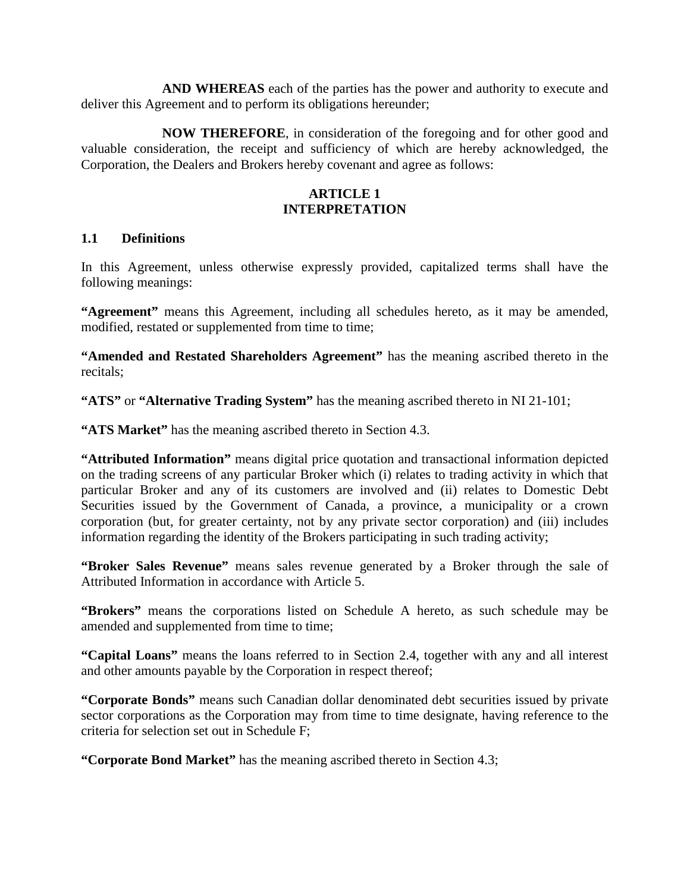**AND WHEREAS** each of the parties has the power and authority to execute and deliver this Agreement and to perform its obligations hereunder;

**NOW THEREFORE**, in consideration of the foregoing and for other good and valuable consideration, the receipt and sufficiency of which are hereby acknowledged, the Corporation, the Dealers and Brokers hereby covenant and agree as follows:

### **ARTICLE 1 INTERPRETATION**

### **1.1 Definitions**

In this Agreement, unless otherwise expressly provided, capitalized terms shall have the following meanings:

**"Agreement"** means this Agreement, including all schedules hereto, as it may be amended, modified, restated or supplemented from time to time;

**"Amended and Restated Shareholders Agreement"** has the meaning ascribed thereto in the recitals;

**"ATS"** or **"Alternative Trading System"** has the meaning ascribed thereto in NI 21-101;

**"ATS Market"** has the meaning ascribed thereto in Section 4.3.

**"Attributed Information"** means digital price quotation and transactional information depicted on the trading screens of any particular Broker which (i) relates to trading activity in which that particular Broker and any of its customers are involved and (ii) relates to Domestic Debt Securities issued by the Government of Canada, a province, a municipality or a crown corporation (but, for greater certainty, not by any private sector corporation) and (iii) includes information regarding the identity of the Brokers participating in such trading activity;

**"Broker Sales Revenue"** means sales revenue generated by a Broker through the sale of Attributed Information in accordance with Article 5.

**"Brokers"** means the corporations listed on Schedule A hereto, as such schedule may be amended and supplemented from time to time;

**"Capital Loans"** means the loans referred to in Section 2.4, together with any and all interest and other amounts payable by the Corporation in respect thereof;

**"Corporate Bonds"** means such Canadian dollar denominated debt securities issued by private sector corporations as the Corporation may from time to time designate, having reference to the criteria for selection set out in Schedule F;

**"Corporate Bond Market"** has the meaning ascribed thereto in Section 4.3;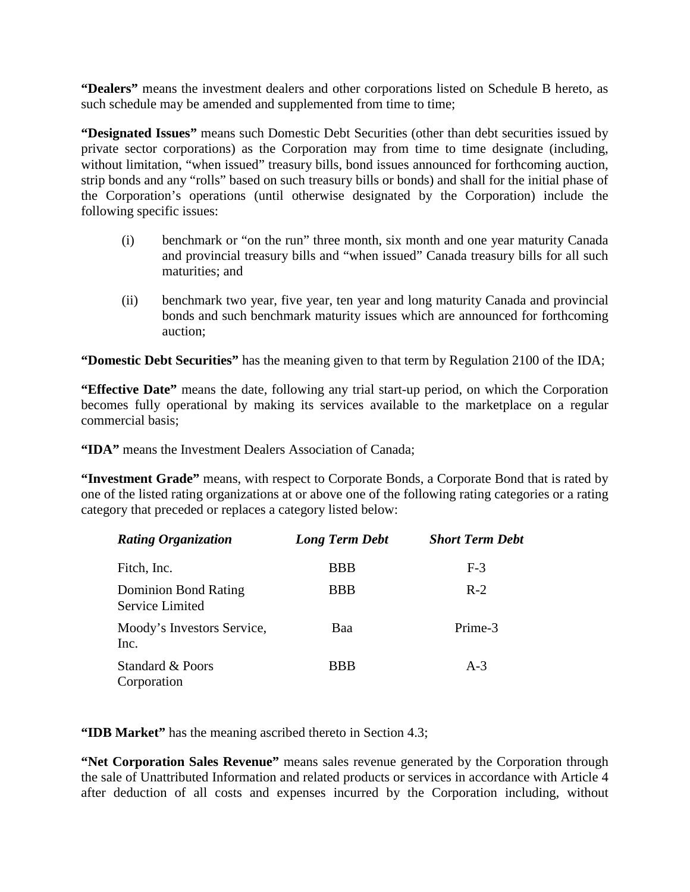**"Dealers"** means the investment dealers and other corporations listed on Schedule B hereto, as such schedule may be amended and supplemented from time to time;

**"Designated Issues"** means such Domestic Debt Securities (other than debt securities issued by private sector corporations) as the Corporation may from time to time designate (including, without limitation, "when issued" treasury bills, bond issues announced for forthcoming auction, strip bonds and any "rolls" based on such treasury bills or bonds) and shall for the initial phase of the Corporation's operations (until otherwise designated by the Corporation) include the following specific issues:

- (i) benchmark or "on the run" three month, six month and one year maturity Canada and provincial treasury bills and "when issued" Canada treasury bills for all such maturities; and
- (ii) benchmark two year, five year, ten year and long maturity Canada and provincial bonds and such benchmark maturity issues which are announced for forthcoming auction;

**"Domestic Debt Securities"** has the meaning given to that term by Regulation 2100 of the IDA;

**"Effective Date"** means the date, following any trial start-up period, on which the Corporation becomes fully operational by making its services available to the marketplace on a regular commercial basis;

**"IDA"** means the Investment Dealers Association of Canada;

**"Investment Grade"** means, with respect to Corporate Bonds, a Corporate Bond that is rated by one of the listed rating organizations at or above one of the following rating categories or a rating category that preceded or replaces a category listed below:

| <b>Rating Organization</b>                     | Long Term Debt | <b>Short Term Debt</b> |
|------------------------------------------------|----------------|------------------------|
| Fitch, Inc.                                    | <b>BBB</b>     | $F-3$                  |
| <b>Dominion Bond Rating</b><br>Service Limited | <b>BBB</b>     | $R-2$                  |
| Moody's Investors Service,<br>Inc.             | Baa            | Prime-3                |
| Standard & Poors<br>Corporation                | <b>BBB</b>     | $A-3$                  |

**"IDB Market"** has the meaning ascribed thereto in Section 4.3;

**"Net Corporation Sales Revenue"** means sales revenue generated by the Corporation through the sale of Unattributed Information and related products or services in accordance with Article 4 after deduction of all costs and expenses incurred by the Corporation including, without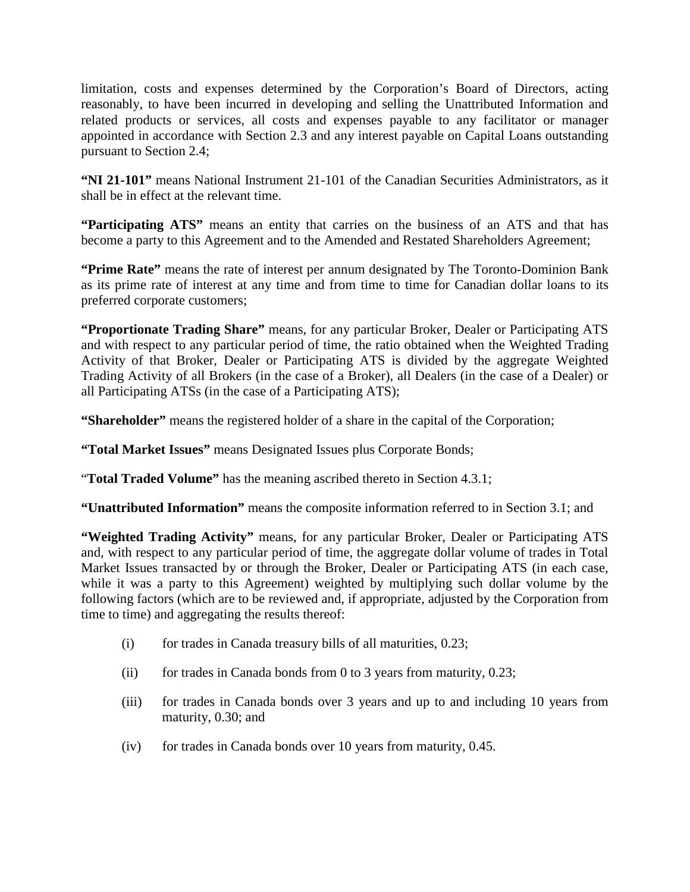limitation, costs and expenses determined by the Corporation's Board of Directors, acting reasonably, to have been incurred in developing and selling the Unattributed Information and related products or services, all costs and expenses payable to any facilitator or manager appointed in accordance with Section 2.3 and any interest payable on Capital Loans outstanding pursuant to Section 2.4;

**"NI 21-101"** means National Instrument 21-101 of the Canadian Securities Administrators, as it shall be in effect at the relevant time.

**"Participating ATS"** means an entity that carries on the business of an ATS and that has become a party to this Agreement and to the Amended and Restated Shareholders Agreement;

**"Prime Rate"** means the rate of interest per annum designated by The Toronto-Dominion Bank as its prime rate of interest at any time and from time to time for Canadian dollar loans to its preferred corporate customers;

**"Proportionate Trading Share"** means, for any particular Broker, Dealer or Participating ATS and with respect to any particular period of time, the ratio obtained when the Weighted Trading Activity of that Broker, Dealer or Participating ATS is divided by the aggregate Weighted Trading Activity of all Brokers (in the case of a Broker), all Dealers (in the case of a Dealer) or all Participating ATSs (in the case of a Participating ATS);

**"Shareholder"** means the registered holder of a share in the capital of the Corporation;

**"Total Market Issues"** means Designated Issues plus Corporate Bonds;

"**Total Traded Volume"** has the meaning ascribed thereto in Section 4.3.1;

**"Unattributed Information"** means the composite information referred to in Section 3.1; and

**"Weighted Trading Activity"** means, for any particular Broker, Dealer or Participating ATS and, with respect to any particular period of time, the aggregate dollar volume of trades in Total Market Issues transacted by or through the Broker, Dealer or Participating ATS (in each case, while it was a party to this Agreement) weighted by multiplying such dollar volume by the following factors (which are to be reviewed and, if appropriate, adjusted by the Corporation from time to time) and aggregating the results thereof:

- $(i)$  for trades in Canada treasury bills of all maturities, 0.23;
- (ii) for trades in Canada bonds from 0 to 3 years from maturity, 0.23;
- (iii) for trades in Canada bonds over 3 years and up to and including 10 years from maturity, 0.30; and
- (iv) for trades in Canada bonds over 10 years from maturity, 0.45.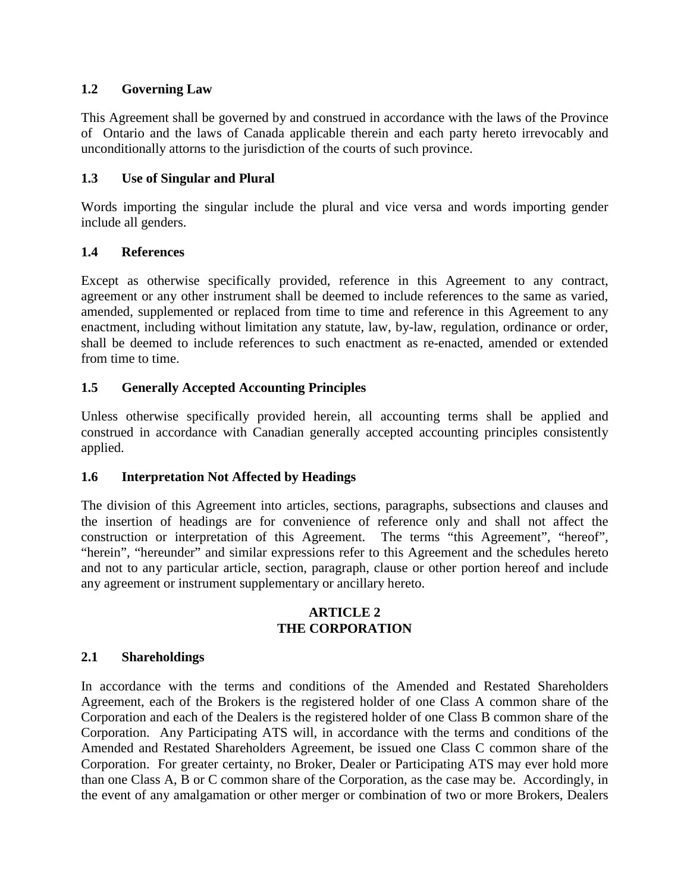## **1.2 Governing Law**

This Agreement shall be governed by and construed in accordance with the laws of the Province of Ontario and the laws of Canada applicable therein and each party hereto irrevocably and unconditionally attorns to the jurisdiction of the courts of such province.

## **1.3 Use of Singular and Plural**

Words importing the singular include the plural and vice versa and words importing gender include all genders.

## **1.4 References**

Except as otherwise specifically provided, reference in this Agreement to any contract, agreement or any other instrument shall be deemed to include references to the same as varied, amended, supplemented or replaced from time to time and reference in this Agreement to any enactment, including without limitation any statute, law, by-law, regulation, ordinance or order, shall be deemed to include references to such enactment as re-enacted, amended or extended from time to time.

# **1.5 Generally Accepted Accounting Principles**

Unless otherwise specifically provided herein, all accounting terms shall be applied and construed in accordance with Canadian generally accepted accounting principles consistently applied.

## **1.6 Interpretation Not Affected by Headings**

The division of this Agreement into articles, sections, paragraphs, subsections and clauses and the insertion of headings are for convenience of reference only and shall not affect the construction or interpretation of this Agreement. The terms "this Agreement", "hereof", "herein", "hereunder" and similar expressions refer to this Agreement and the schedules hereto and not to any particular article, section, paragraph, clause or other portion hereof and include any agreement or instrument supplementary or ancillary hereto.

#### **ARTICLE 2 THE CORPORATION**

## **2.1 Shareholdings**

In accordance with the terms and conditions of the Amended and Restated Shareholders Agreement, each of the Brokers is the registered holder of one Class A common share of the Corporation and each of the Dealers is the registered holder of one Class B common share of the Corporation. Any Participating ATS will, in accordance with the terms and conditions of the Amended and Restated Shareholders Agreement, be issued one Class C common share of the Corporation. For greater certainty, no Broker, Dealer or Participating ATS may ever hold more than one Class A, B or C common share of the Corporation, as the case may be. Accordingly, in the event of any amalgamation or other merger or combination of two or more Brokers, Dealers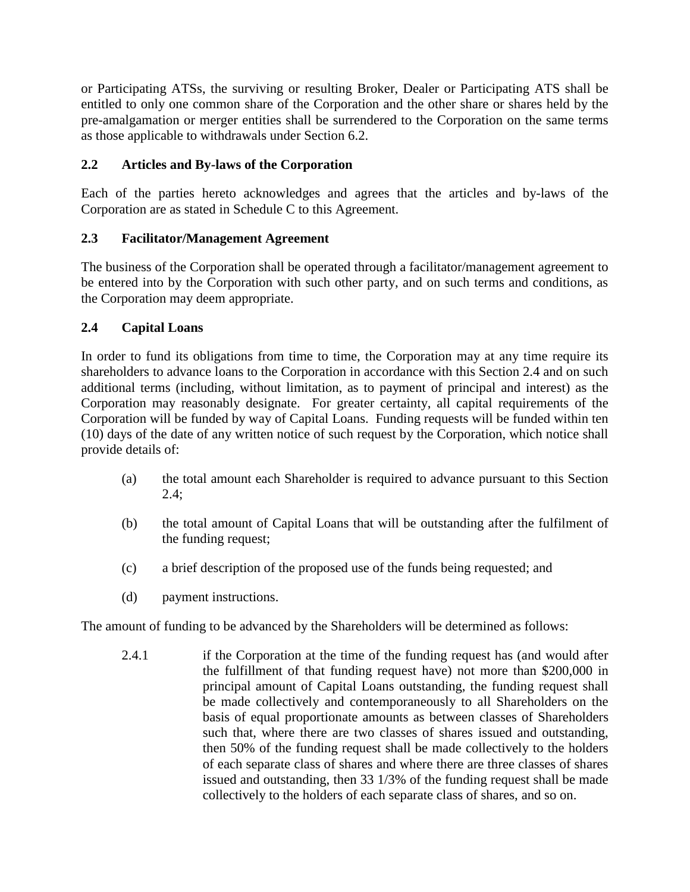or Participating ATSs, the surviving or resulting Broker, Dealer or Participating ATS shall be entitled to only one common share of the Corporation and the other share or shares held by the pre-amalgamation or merger entities shall be surrendered to the Corporation on the same terms as those applicable to withdrawals under Section 6.2.

# **2.2 Articles and By-laws of the Corporation**

Each of the parties hereto acknowledges and agrees that the articles and by-laws of the Corporation are as stated in Schedule C to this Agreement.

## **2.3 Facilitator/Management Agreement**

The business of the Corporation shall be operated through a facilitator/management agreement to be entered into by the Corporation with such other party, and on such terms and conditions, as the Corporation may deem appropriate.

## **2.4 Capital Loans**

In order to fund its obligations from time to time, the Corporation may at any time require its shareholders to advance loans to the Corporation in accordance with this Section 2.4 and on such additional terms (including, without limitation, as to payment of principal and interest) as the Corporation may reasonably designate. For greater certainty, all capital requirements of the Corporation will be funded by way of Capital Loans. Funding requests will be funded within ten (10) days of the date of any written notice of such request by the Corporation, which notice shall provide details of:

- (a) the total amount each Shareholder is required to advance pursuant to this Section 2.4;
- (b) the total amount of Capital Loans that will be outstanding after the fulfilment of the funding request;
- (c) a brief description of the proposed use of the funds being requested; and
- (d) payment instructions.

The amount of funding to be advanced by the Shareholders will be determined as follows:

2.4.1 if the Corporation at the time of the funding request has (and would after the fulfillment of that funding request have) not more than \$200,000 in principal amount of Capital Loans outstanding, the funding request shall be made collectively and contemporaneously to all Shareholders on the basis of equal proportionate amounts as between classes of Shareholders such that, where there are two classes of shares issued and outstanding, then 50% of the funding request shall be made collectively to the holders of each separate class of shares and where there are three classes of shares issued and outstanding, then 33 1/3% of the funding request shall be made collectively to the holders of each separate class of shares, and so on.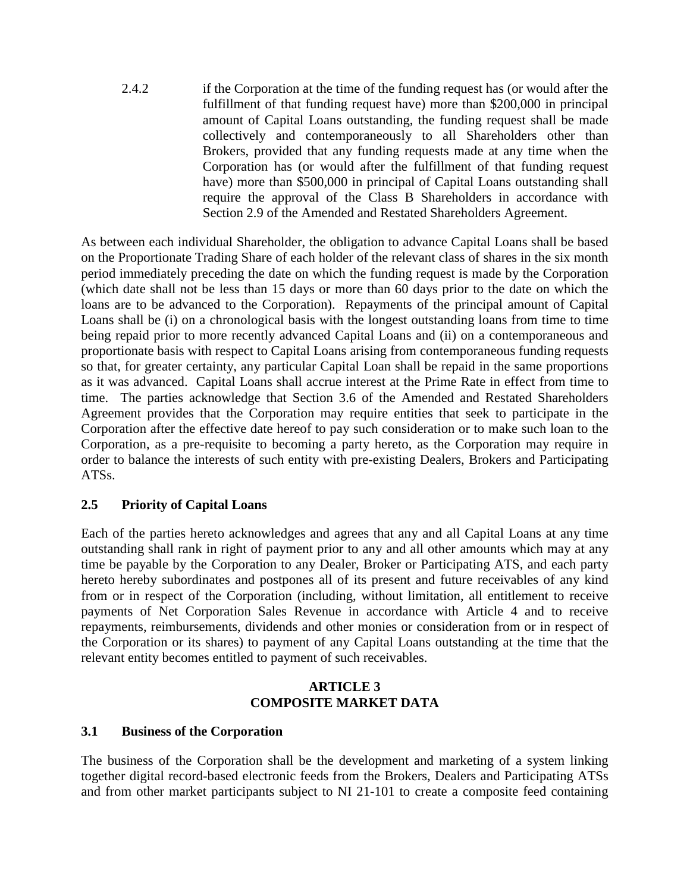2.4.2 if the Corporation at the time of the funding request has (or would after the fulfillment of that funding request have) more than \$200,000 in principal amount of Capital Loans outstanding, the funding request shall be made collectively and contemporaneously to all Shareholders other than Brokers, provided that any funding requests made at any time when the Corporation has (or would after the fulfillment of that funding request have) more than \$500,000 in principal of Capital Loans outstanding shall require the approval of the Class B Shareholders in accordance with Section 2.9 of the Amended and Restated Shareholders Agreement.

As between each individual Shareholder, the obligation to advance Capital Loans shall be based on the Proportionate Trading Share of each holder of the relevant class of shares in the six month period immediately preceding the date on which the funding request is made by the Corporation (which date shall not be less than 15 days or more than 60 days prior to the date on which the loans are to be advanced to the Corporation). Repayments of the principal amount of Capital Loans shall be (i) on a chronological basis with the longest outstanding loans from time to time being repaid prior to more recently advanced Capital Loans and (ii) on a contemporaneous and proportionate basis with respect to Capital Loans arising from contemporaneous funding requests so that, for greater certainty, any particular Capital Loan shall be repaid in the same proportions as it was advanced. Capital Loans shall accrue interest at the Prime Rate in effect from time to time. The parties acknowledge that Section 3.6 of the Amended and Restated Shareholders Agreement provides that the Corporation may require entities that seek to participate in the Corporation after the effective date hereof to pay such consideration or to make such loan to the Corporation, as a pre-requisite to becoming a party hereto, as the Corporation may require in order to balance the interests of such entity with pre-existing Dealers, Brokers and Participating ATSs.

## **2.5 Priority of Capital Loans**

Each of the parties hereto acknowledges and agrees that any and all Capital Loans at any time outstanding shall rank in right of payment prior to any and all other amounts which may at any time be payable by the Corporation to any Dealer, Broker or Participating ATS, and each party hereto hereby subordinates and postpones all of its present and future receivables of any kind from or in respect of the Corporation (including, without limitation, all entitlement to receive payments of Net Corporation Sales Revenue in accordance with Article 4 and to receive repayments, reimbursements, dividends and other monies or consideration from or in respect of the Corporation or its shares) to payment of any Capital Loans outstanding at the time that the relevant entity becomes entitled to payment of such receivables.

### **ARTICLE 3 COMPOSITE MARKET DATA**

## **3.1 Business of the Corporation**

The business of the Corporation shall be the development and marketing of a system linking together digital record-based electronic feeds from the Brokers, Dealers and Participating ATSs and from other market participants subject to NI 21-101 to create a composite feed containing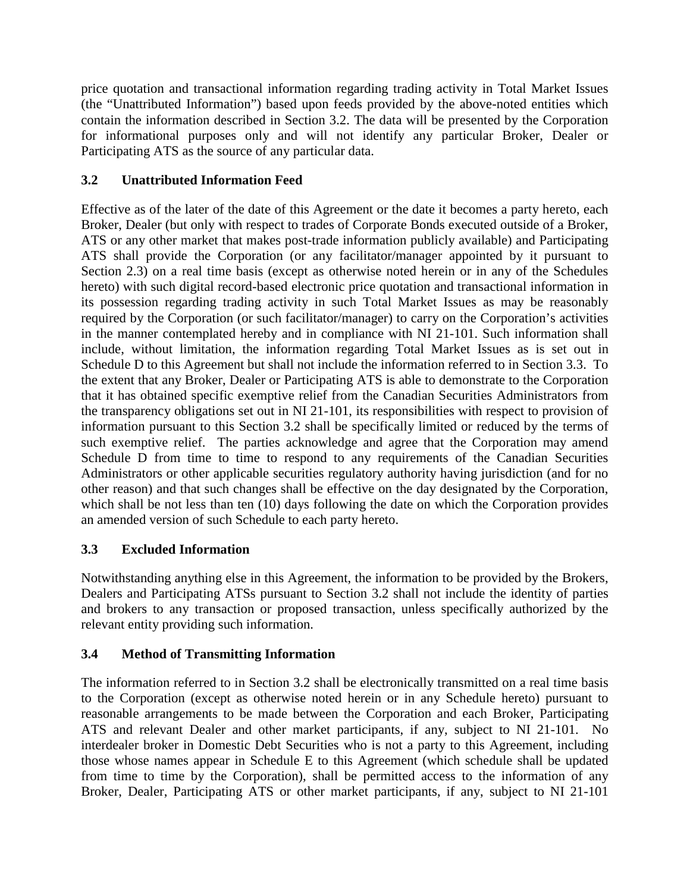price quotation and transactional information regarding trading activity in Total Market Issues (the "Unattributed Information") based upon feeds provided by the above-noted entities which contain the information described in Section 3.2. The data will be presented by the Corporation for informational purposes only and will not identify any particular Broker, Dealer or Participating ATS as the source of any particular data.

# **3.2 Unattributed Information Feed**

Effective as of the later of the date of this Agreement or the date it becomes a party hereto, each Broker, Dealer (but only with respect to trades of Corporate Bonds executed outside of a Broker, ATS or any other market that makes post-trade information publicly available) and Participating ATS shall provide the Corporation (or any facilitator/manager appointed by it pursuant to Section 2.3) on a real time basis (except as otherwise noted herein or in any of the Schedules hereto) with such digital record-based electronic price quotation and transactional information in its possession regarding trading activity in such Total Market Issues as may be reasonably required by the Corporation (or such facilitator/manager) to carry on the Corporation's activities in the manner contemplated hereby and in compliance with NI 21-101. Such information shall include, without limitation, the information regarding Total Market Issues as is set out in Schedule D to this Agreement but shall not include the information referred to in Section 3.3. To the extent that any Broker, Dealer or Participating ATS is able to demonstrate to the Corporation that it has obtained specific exemptive relief from the Canadian Securities Administrators from the transparency obligations set out in NI 21-101, its responsibilities with respect to provision of information pursuant to this Section 3.2 shall be specifically limited or reduced by the terms of such exemptive relief. The parties acknowledge and agree that the Corporation may amend Schedule D from time to time to respond to any requirements of the Canadian Securities Administrators or other applicable securities regulatory authority having jurisdiction (and for no other reason) and that such changes shall be effective on the day designated by the Corporation, which shall be not less than ten (10) days following the date on which the Corporation provides an amended version of such Schedule to each party hereto.

## **3.3 Excluded Information**

Notwithstanding anything else in this Agreement, the information to be provided by the Brokers, Dealers and Participating ATSs pursuant to Section 3.2 shall not include the identity of parties and brokers to any transaction or proposed transaction, unless specifically authorized by the relevant entity providing such information.

## **3.4 Method of Transmitting Information**

The information referred to in Section 3.2 shall be electronically transmitted on a real time basis to the Corporation (except as otherwise noted herein or in any Schedule hereto) pursuant to reasonable arrangements to be made between the Corporation and each Broker, Participating ATS and relevant Dealer and other market participants, if any, subject to NI 21-101. No interdealer broker in Domestic Debt Securities who is not a party to this Agreement, including those whose names appear in Schedule E to this Agreement (which schedule shall be updated from time to time by the Corporation), shall be permitted access to the information of any Broker, Dealer, Participating ATS or other market participants, if any, subject to NI 21-101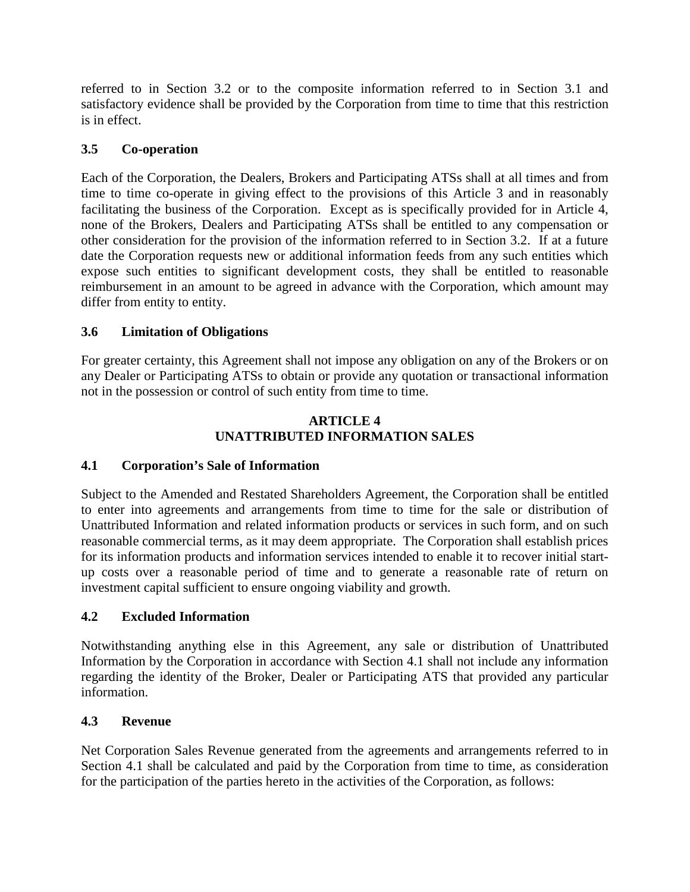referred to in Section 3.2 or to the composite information referred to in Section 3.1 and satisfactory evidence shall be provided by the Corporation from time to time that this restriction is in effect.

## **3.5 Co-operation**

Each of the Corporation, the Dealers, Brokers and Participating ATSs shall at all times and from time to time co-operate in giving effect to the provisions of this Article 3 and in reasonably facilitating the business of the Corporation. Except as is specifically provided for in Article 4, none of the Brokers, Dealers and Participating ATSs shall be entitled to any compensation or other consideration for the provision of the information referred to in Section 3.2. If at a future date the Corporation requests new or additional information feeds from any such entities which expose such entities to significant development costs, they shall be entitled to reasonable reimbursement in an amount to be agreed in advance with the Corporation, which amount may differ from entity to entity.

## **3.6 Limitation of Obligations**

For greater certainty, this Agreement shall not impose any obligation on any of the Brokers or on any Dealer or Participating ATSs to obtain or provide any quotation or transactional information not in the possession or control of such entity from time to time.

### **ARTICLE 4 UNATTRIBUTED INFORMATION SALES**

## **4.1 Corporation's Sale of Information**

Subject to the Amended and Restated Shareholders Agreement, the Corporation shall be entitled to enter into agreements and arrangements from time to time for the sale or distribution of Unattributed Information and related information products or services in such form, and on such reasonable commercial terms, as it may deem appropriate. The Corporation shall establish prices for its information products and information services intended to enable it to recover initial startup costs over a reasonable period of time and to generate a reasonable rate of return on investment capital sufficient to ensure ongoing viability and growth.

## **4.2 Excluded Information**

Notwithstanding anything else in this Agreement, any sale or distribution of Unattributed Information by the Corporation in accordance with Section 4.1 shall not include any information regarding the identity of the Broker, Dealer or Participating ATS that provided any particular information.

## **4.3 Revenue**

Net Corporation Sales Revenue generated from the agreements and arrangements referred to in Section 4.1 shall be calculated and paid by the Corporation from time to time, as consideration for the participation of the parties hereto in the activities of the Corporation, as follows: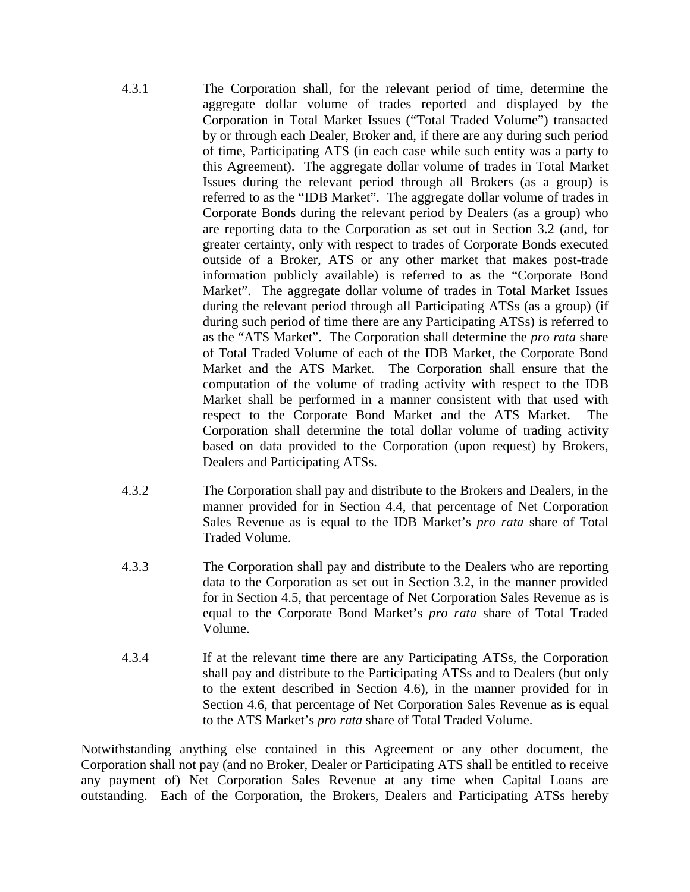- 4.3.1 The Corporation shall, for the relevant period of time, determine the aggregate dollar volume of trades reported and displayed by the Corporation in Total Market Issues ("Total Traded Volume") transacted by or through each Dealer, Broker and, if there are any during such period of time, Participating ATS (in each case while such entity was a party to this Agreement). The aggregate dollar volume of trades in Total Market Issues during the relevant period through all Brokers (as a group) is referred to as the "IDB Market". The aggregate dollar volume of trades in Corporate Bonds during the relevant period by Dealers (as a group) who are reporting data to the Corporation as set out in Section 3.2 (and, for greater certainty, only with respect to trades of Corporate Bonds executed outside of a Broker, ATS or any other market that makes post-trade information publicly available) is referred to as the "Corporate Bond Market". The aggregate dollar volume of trades in Total Market Issues during the relevant period through all Participating ATSs (as a group) (if during such period of time there are any Participating ATSs) is referred to as the "ATS Market". The Corporation shall determine the *pro rata* share of Total Traded Volume of each of the IDB Market, the Corporate Bond Market and the ATS Market. The Corporation shall ensure that the computation of the volume of trading activity with respect to the IDB Market shall be performed in a manner consistent with that used with respect to the Corporate Bond Market and the ATS Market. The Corporation shall determine the total dollar volume of trading activity based on data provided to the Corporation (upon request) by Brokers, Dealers and Participating ATSs.
- 4.3.2 The Corporation shall pay and distribute to the Brokers and Dealers, in the manner provided for in Section 4.4, that percentage of Net Corporation Sales Revenue as is equal to the IDB Market's *pro rata* share of Total Traded Volume.
- 4.3.3 The Corporation shall pay and distribute to the Dealers who are reporting data to the Corporation as set out in Section 3.2, in the manner provided for in Section 4.5, that percentage of Net Corporation Sales Revenue as is equal to the Corporate Bond Market's *pro rata* share of Total Traded Volume.
- 4.3.4 If at the relevant time there are any Participating ATSs, the Corporation shall pay and distribute to the Participating ATSs and to Dealers (but only to the extent described in Section 4.6), in the manner provided for in Section 4.6, that percentage of Net Corporation Sales Revenue as is equal to the ATS Market's *pro rata* share of Total Traded Volume.

Notwithstanding anything else contained in this Agreement or any other document, the Corporation shall not pay (and no Broker, Dealer or Participating ATS shall be entitled to receive any payment of) Net Corporation Sales Revenue at any time when Capital Loans are outstanding. Each of the Corporation, the Brokers, Dealers and Participating ATSs hereby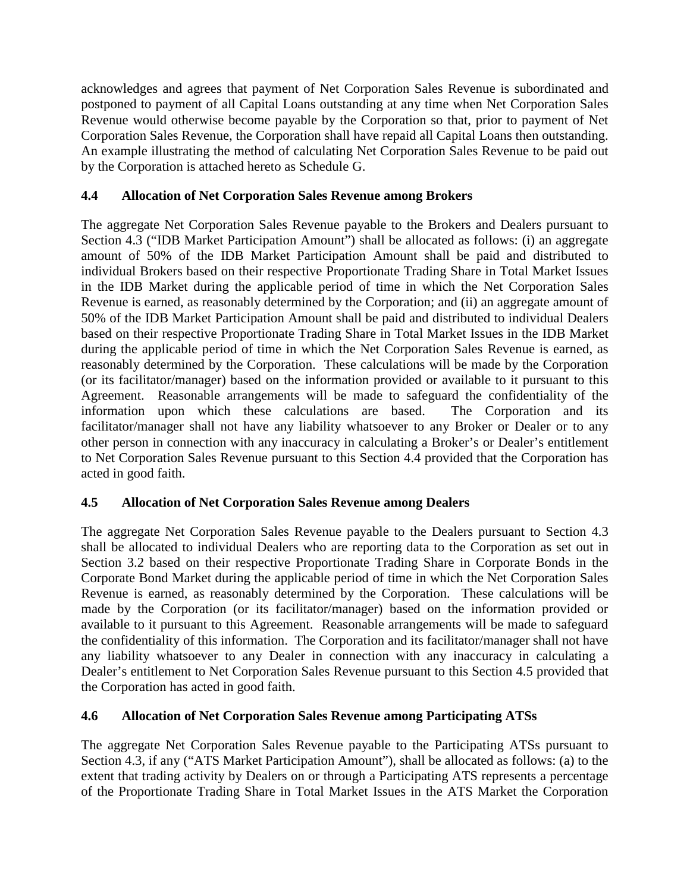acknowledges and agrees that payment of Net Corporation Sales Revenue is subordinated and postponed to payment of all Capital Loans outstanding at any time when Net Corporation Sales Revenue would otherwise become payable by the Corporation so that, prior to payment of Net Corporation Sales Revenue, the Corporation shall have repaid all Capital Loans then outstanding. An example illustrating the method of calculating Net Corporation Sales Revenue to be paid out by the Corporation is attached hereto as Schedule G.

# **4.4 Allocation of Net Corporation Sales Revenue among Brokers**

The aggregate Net Corporation Sales Revenue payable to the Brokers and Dealers pursuant to Section 4.3 ("IDB Market Participation Amount") shall be allocated as follows: (i) an aggregate amount of 50% of the IDB Market Participation Amount shall be paid and distributed to individual Brokers based on their respective Proportionate Trading Share in Total Market Issues in the IDB Market during the applicable period of time in which the Net Corporation Sales Revenue is earned, as reasonably determined by the Corporation; and (ii) an aggregate amount of 50% of the IDB Market Participation Amount shall be paid and distributed to individual Dealers based on their respective Proportionate Trading Share in Total Market Issues in the IDB Market during the applicable period of time in which the Net Corporation Sales Revenue is earned, as reasonably determined by the Corporation. These calculations will be made by the Corporation (or its facilitator/manager) based on the information provided or available to it pursuant to this Agreement. Reasonable arrangements will be made to safeguard the confidentiality of the information upon which these calculations are based. The Corporation and its facilitator/manager shall not have any liability whatsoever to any Broker or Dealer or to any other person in connection with any inaccuracy in calculating a Broker's or Dealer's entitlement to Net Corporation Sales Revenue pursuant to this Section 4.4 provided that the Corporation has acted in good faith.

## **4.5 Allocation of Net Corporation Sales Revenue among Dealers**

The aggregate Net Corporation Sales Revenue payable to the Dealers pursuant to Section 4.3 shall be allocated to individual Dealers who are reporting data to the Corporation as set out in Section 3.2 based on their respective Proportionate Trading Share in Corporate Bonds in the Corporate Bond Market during the applicable period of time in which the Net Corporation Sales Revenue is earned, as reasonably determined by the Corporation. These calculations will be made by the Corporation (or its facilitator/manager) based on the information provided or available to it pursuant to this Agreement. Reasonable arrangements will be made to safeguard the confidentiality of this information. The Corporation and its facilitator/manager shall not have any liability whatsoever to any Dealer in connection with any inaccuracy in calculating a Dealer's entitlement to Net Corporation Sales Revenue pursuant to this Section 4.5 provided that the Corporation has acted in good faith.

## **4.6 Allocation of Net Corporation Sales Revenue among Participating ATSs**

The aggregate Net Corporation Sales Revenue payable to the Participating ATSs pursuant to Section 4.3, if any ("ATS Market Participation Amount"), shall be allocated as follows: (a) to the extent that trading activity by Dealers on or through a Participating ATS represents a percentage of the Proportionate Trading Share in Total Market Issues in the ATS Market the Corporation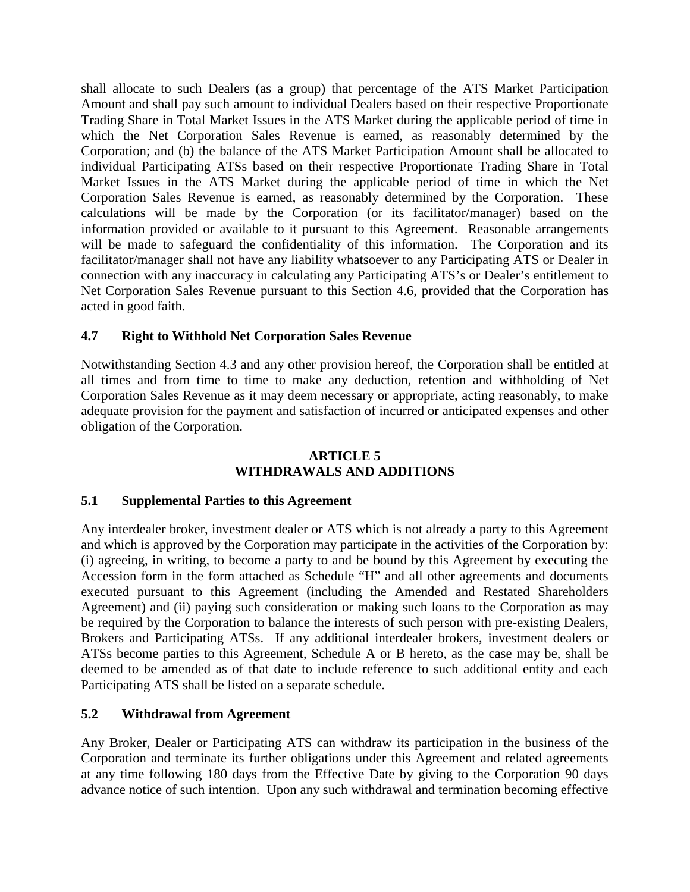shall allocate to such Dealers (as a group) that percentage of the ATS Market Participation Amount and shall pay such amount to individual Dealers based on their respective Proportionate Trading Share in Total Market Issues in the ATS Market during the applicable period of time in which the Net Corporation Sales Revenue is earned, as reasonably determined by the Corporation; and (b) the balance of the ATS Market Participation Amount shall be allocated to individual Participating ATSs based on their respective Proportionate Trading Share in Total Market Issues in the ATS Market during the applicable period of time in which the Net Corporation Sales Revenue is earned, as reasonably determined by the Corporation. These calculations will be made by the Corporation (or its facilitator/manager) based on the information provided or available to it pursuant to this Agreement. Reasonable arrangements will be made to safeguard the confidentiality of this information. The Corporation and its facilitator/manager shall not have any liability whatsoever to any Participating ATS or Dealer in connection with any inaccuracy in calculating any Participating ATS's or Dealer's entitlement to Net Corporation Sales Revenue pursuant to this Section 4.6, provided that the Corporation has acted in good faith.

## **4.7 Right to Withhold Net Corporation Sales Revenue**

Notwithstanding Section 4.3 and any other provision hereof, the Corporation shall be entitled at all times and from time to time to make any deduction, retention and withholding of Net Corporation Sales Revenue as it may deem necessary or appropriate, acting reasonably, to make adequate provision for the payment and satisfaction of incurred or anticipated expenses and other obligation of the Corporation.

## **ARTICLE 5 WITHDRAWALS AND ADDITIONS**

## **5.1 Supplemental Parties to this Agreement**

Any interdealer broker, investment dealer or ATS which is not already a party to this Agreement and which is approved by the Corporation may participate in the activities of the Corporation by: (i) agreeing, in writing, to become a party to and be bound by this Agreement by executing the Accession form in the form attached as Schedule "H" and all other agreements and documents executed pursuant to this Agreement (including the Amended and Restated Shareholders Agreement) and (ii) paying such consideration or making such loans to the Corporation as may be required by the Corporation to balance the interests of such person with pre-existing Dealers, Brokers and Participating ATSs. If any additional interdealer brokers, investment dealers or ATSs become parties to this Agreement, Schedule A or B hereto, as the case may be, shall be deemed to be amended as of that date to include reference to such additional entity and each Participating ATS shall be listed on a separate schedule.

## **5.2 Withdrawal from Agreement**

Any Broker, Dealer or Participating ATS can withdraw its participation in the business of the Corporation and terminate its further obligations under this Agreement and related agreements at any time following 180 days from the Effective Date by giving to the Corporation 90 days advance notice of such intention. Upon any such withdrawal and termination becoming effective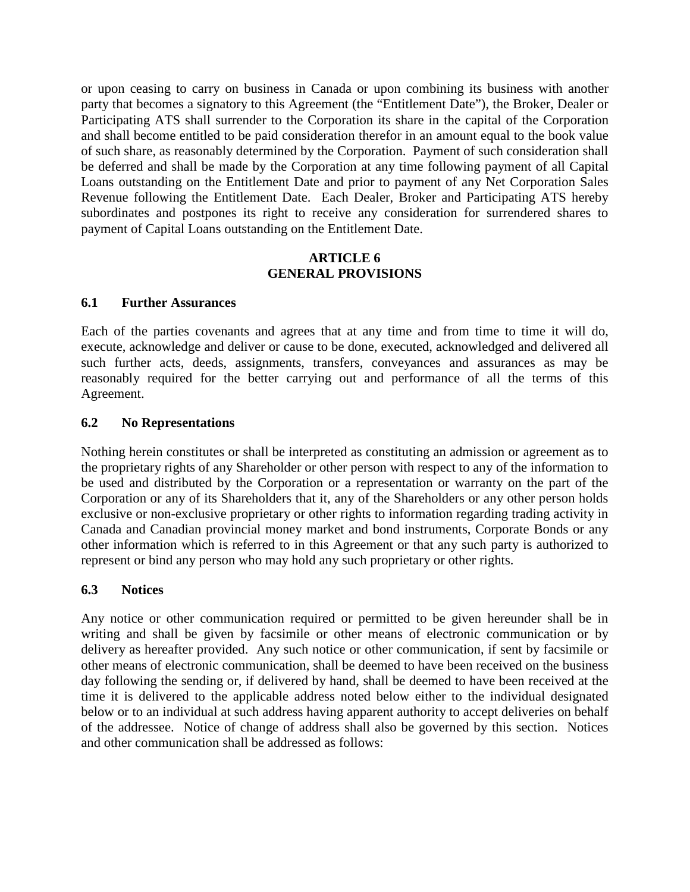or upon ceasing to carry on business in Canada or upon combining its business with another party that becomes a signatory to this Agreement (the "Entitlement Date"), the Broker, Dealer or Participating ATS shall surrender to the Corporation its share in the capital of the Corporation and shall become entitled to be paid consideration therefor in an amount equal to the book value of such share, as reasonably determined by the Corporation. Payment of such consideration shall be deferred and shall be made by the Corporation at any time following payment of all Capital Loans outstanding on the Entitlement Date and prior to payment of any Net Corporation Sales Revenue following the Entitlement Date. Each Dealer, Broker and Participating ATS hereby subordinates and postpones its right to receive any consideration for surrendered shares to payment of Capital Loans outstanding on the Entitlement Date.

#### **ARTICLE 6 GENERAL PROVISIONS**

#### **6.1 Further Assurances**

Each of the parties covenants and agrees that at any time and from time to time it will do, execute, acknowledge and deliver or cause to be done, executed, acknowledged and delivered all such further acts, deeds, assignments, transfers, conveyances and assurances as may be reasonably required for the better carrying out and performance of all the terms of this Agreement.

#### **6.2 No Representations**

Nothing herein constitutes or shall be interpreted as constituting an admission or agreement as to the proprietary rights of any Shareholder or other person with respect to any of the information to be used and distributed by the Corporation or a representation or warranty on the part of the Corporation or any of its Shareholders that it, any of the Shareholders or any other person holds exclusive or non-exclusive proprietary or other rights to information regarding trading activity in Canada and Canadian provincial money market and bond instruments, Corporate Bonds or any other information which is referred to in this Agreement or that any such party is authorized to represent or bind any person who may hold any such proprietary or other rights.

## **6.3 Notices**

Any notice or other communication required or permitted to be given hereunder shall be in writing and shall be given by facsimile or other means of electronic communication or by delivery as hereafter provided. Any such notice or other communication, if sent by facsimile or other means of electronic communication, shall be deemed to have been received on the business day following the sending or, if delivered by hand, shall be deemed to have been received at the time it is delivered to the applicable address noted below either to the individual designated below or to an individual at such address having apparent authority to accept deliveries on behalf of the addressee. Notice of change of address shall also be governed by this section. Notices and other communication shall be addressed as follows: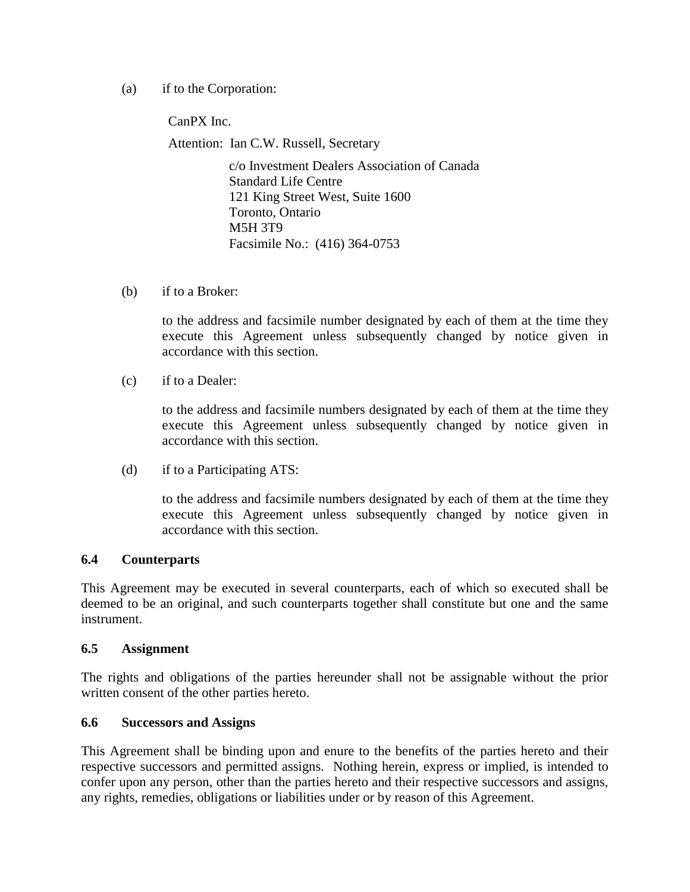(a) if to the Corporation:

CanPX Inc.

Attention: Ian C.W. Russell, Secretary

 c/o Investment Dealers Association of Canada Standard Life Centre 121 King Street West, Suite 1600 Toronto, Ontario M5H 3T9 Facsimile No.: (416) 364-0753

(b) if to a Broker:

to the address and facsimile number designated by each of them at the time they execute this Agreement unless subsequently changed by notice given in accordance with this section.

(c) if to a Dealer:

to the address and facsimile numbers designated by each of them at the time they execute this Agreement unless subsequently changed by notice given in accordance with this section.

(d) if to a Participating ATS:

to the address and facsimile numbers designated by each of them at the time they execute this Agreement unless subsequently changed by notice given in accordance with this section.

### **6.4 Counterparts**

This Agreement may be executed in several counterparts, each of which so executed shall be deemed to be an original, and such counterparts together shall constitute but one and the same instrument.

#### **6.5 Assignment**

The rights and obligations of the parties hereunder shall not be assignable without the prior written consent of the other parties hereto.

#### **6.6 Successors and Assigns**

This Agreement shall be binding upon and enure to the benefits of the parties hereto and their respective successors and permitted assigns. Nothing herein, express or implied, is intended to confer upon any person, other than the parties hereto and their respective successors and assigns, any rights, remedies, obligations or liabilities under or by reason of this Agreement.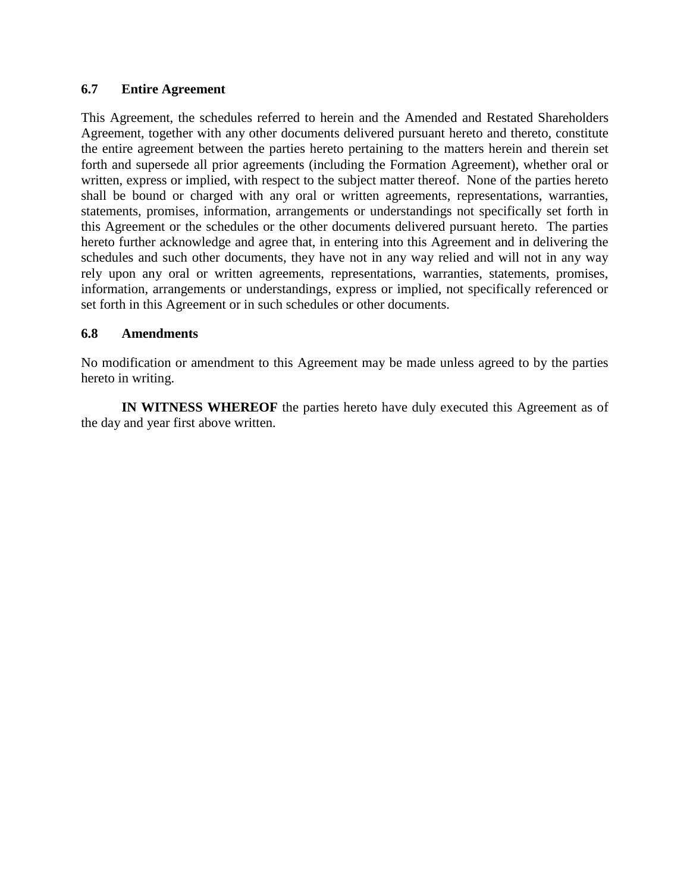### **6.7 Entire Agreement**

This Agreement, the schedules referred to herein and the Amended and Restated Shareholders Agreement, together with any other documents delivered pursuant hereto and thereto, constitute the entire agreement between the parties hereto pertaining to the matters herein and therein set forth and supersede all prior agreements (including the Formation Agreement), whether oral or written, express or implied, with respect to the subject matter thereof. None of the parties hereto shall be bound or charged with any oral or written agreements, representations, warranties, statements, promises, information, arrangements or understandings not specifically set forth in this Agreement or the schedules or the other documents delivered pursuant hereto. The parties hereto further acknowledge and agree that, in entering into this Agreement and in delivering the schedules and such other documents, they have not in any way relied and will not in any way rely upon any oral or written agreements, representations, warranties, statements, promises, information, arrangements or understandings, express or implied, not specifically referenced or set forth in this Agreement or in such schedules or other documents.

### **6.8 Amendments**

No modification or amendment to this Agreement may be made unless agreed to by the parties hereto in writing.

**IN WITNESS WHEREOF** the parties hereto have duly executed this Agreement as of the day and year first above written.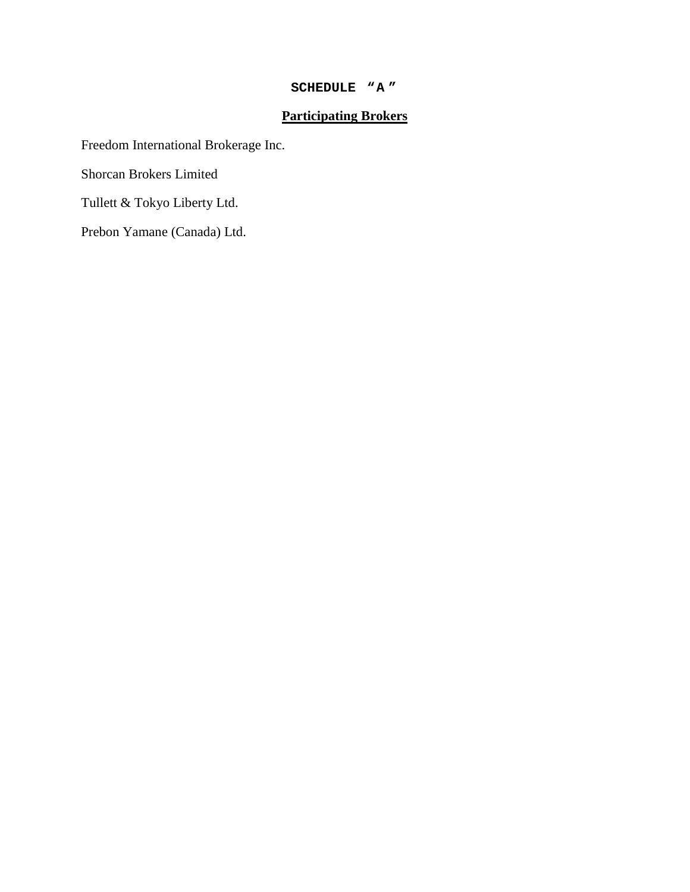#### **SCHEDULE "A "**

## **Participating Brokers**

Freedom International Brokerage Inc.

Shorcan Brokers Limited

Tullett & Tokyo Liberty Ltd.

Prebon Yamane (Canada) Ltd.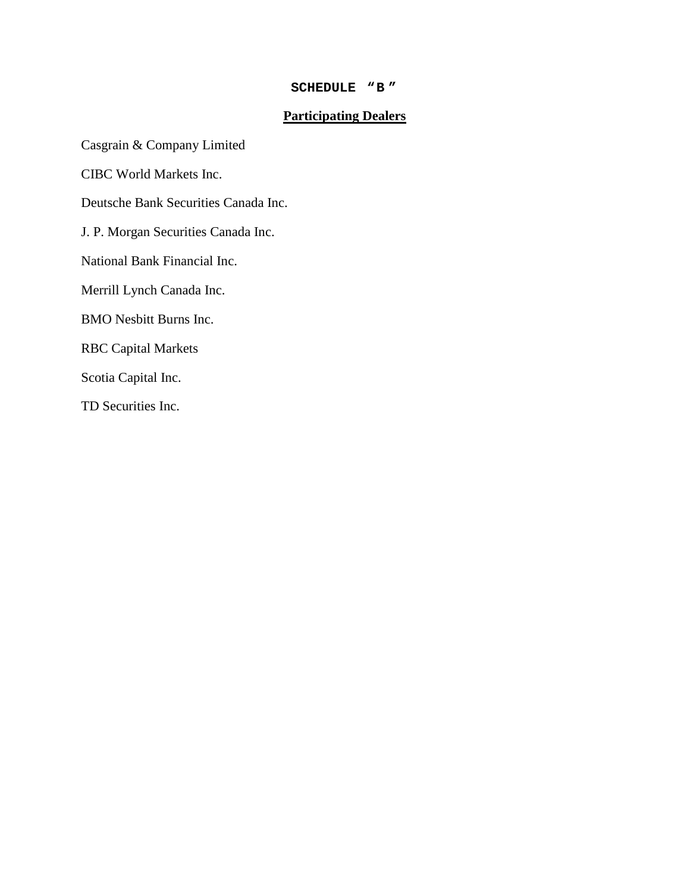## **SCHEDULE "B "**

### **Participating Dealers**

Casgrain & Company Limited CIBC World Markets Inc. Deutsche Bank Securities Canada Inc. J. P. Morgan Securities Canada Inc. National Bank Financial Inc. Merrill Lynch Canada Inc. BMO Nesbitt Burns Inc. RBC Capital Markets Scotia Capital Inc. TD Securities Inc.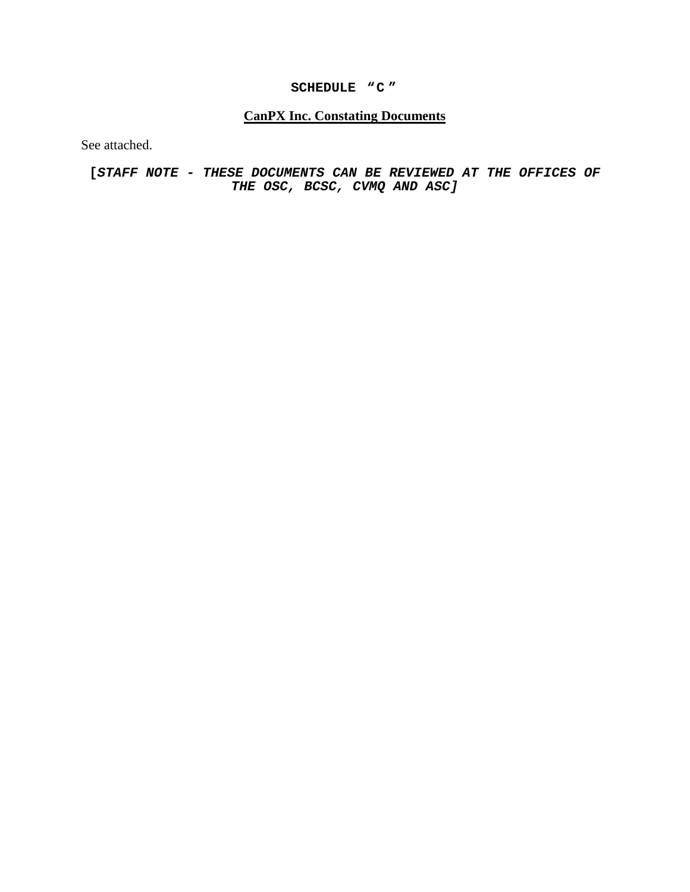#### **SCHEDULE "C "**

### **CanPX Inc. Constating Documents**

See attached.

#### **[STAFF NOTE - THESE DOCUMENTS CAN BE REVIEWED AT THE OFFICES OF THE OSC, BCSC, CVMQ AND ASC]**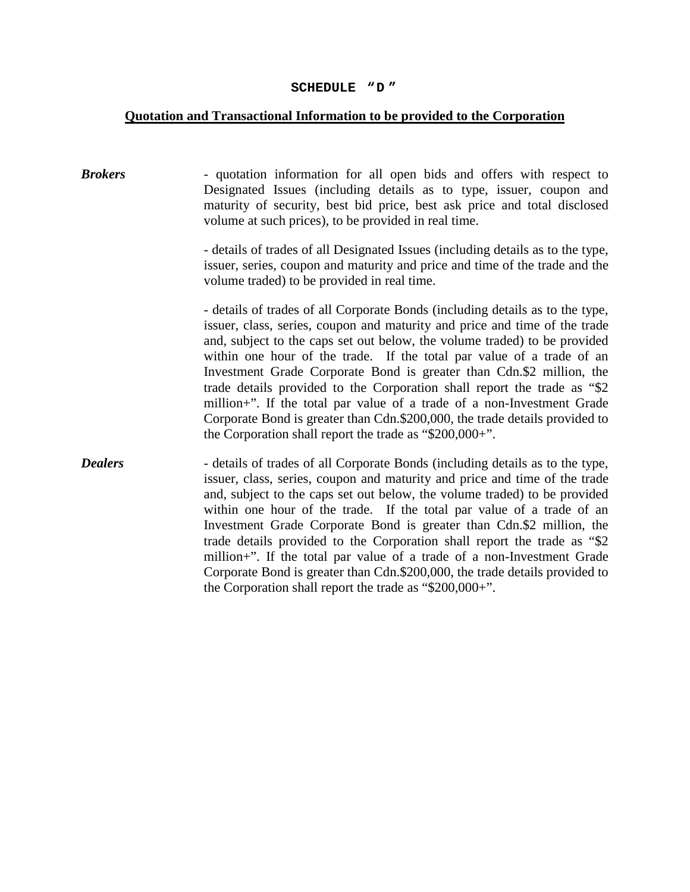## **SCHEDULE "D "**

# **Quotation and Transactional Information to be provided to the Corporation**

| <b>Brokers</b> | - quotation information for all open bids and offers with respect to<br>Designated Issues (including details as to type, issuer, coupon and<br>maturity of security, best bid price, best ask price and total disclosed<br>volume at such prices), to be provided in real time.                                                                                                                                                                                                                                                                                                                                                                                                           |
|----------------|-------------------------------------------------------------------------------------------------------------------------------------------------------------------------------------------------------------------------------------------------------------------------------------------------------------------------------------------------------------------------------------------------------------------------------------------------------------------------------------------------------------------------------------------------------------------------------------------------------------------------------------------------------------------------------------------|
|                | - details of trades of all Designated Issues (including details as to the type,<br>issuer, series, coupon and maturity and price and time of the trade and the<br>volume traded) to be provided in real time.                                                                                                                                                                                                                                                                                                                                                                                                                                                                             |
|                | - details of trades of all Corporate Bonds (including details as to the type,<br>issuer, class, series, coupon and maturity and price and time of the trade<br>and, subject to the caps set out below, the volume traded) to be provided<br>within one hour of the trade. If the total par value of a trade of an<br>Investment Grade Corporate Bond is greater than Cdn.\$2 million, the<br>trade details provided to the Corporation shall report the trade as "\$2<br>million+". If the total par value of a trade of a non-Investment Grade<br>Corporate Bond is greater than Cdn.\$200,000, the trade details provided to<br>the Corporation shall report the trade as "\$200,000+". |
| <b>Dealers</b> | - details of trades of all Corporate Bonds (including details as to the type,<br>issuer, class, series, coupon and maturity and price and time of the trade<br>and, subject to the caps set out below, the volume traded) to be provided<br>within one hour of the trade. If the total par value of a trade of an<br>Investment Grade Corporate Bond is greater than Cdn.\$2 million, the<br>trade details provided to the Corporation shall report the trade as "\$2<br>million+". If the total par value of a trade of a non-Investment Grade<br>Corporate Bond is greater than Cdn.\$200,000, the trade details provided to<br>the Corporation shall report the trade as "\$200,000+". |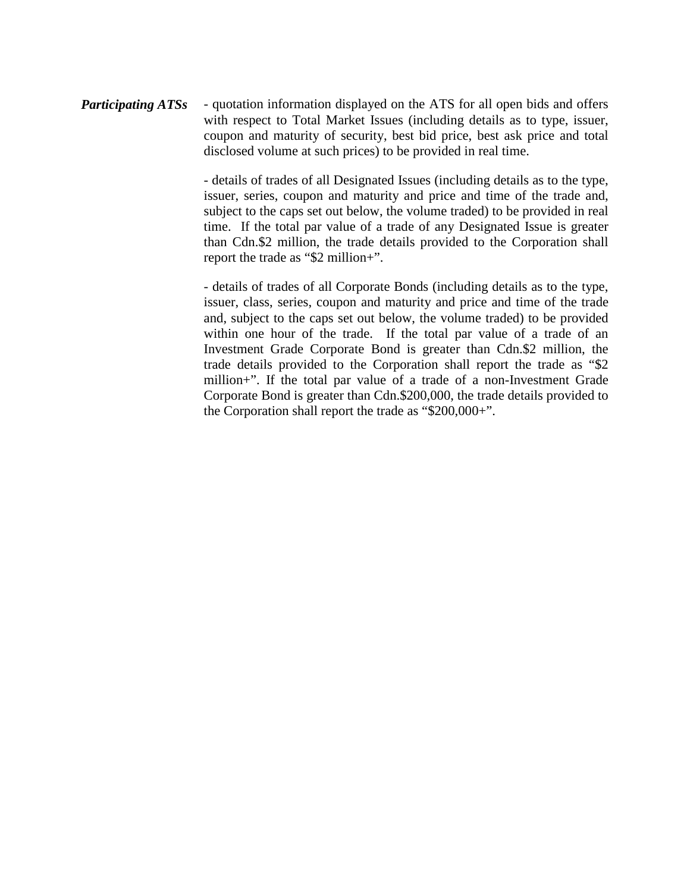*Participating ATSs* - quotation information displayed on the ATS for all open bids and offers with respect to Total Market Issues (including details as to type, issuer, coupon and maturity of security, best bid price, best ask price and total disclosed volume at such prices) to be provided in real time.

> - details of trades of all Designated Issues (including details as to the type, issuer, series, coupon and maturity and price and time of the trade and, subject to the caps set out below, the volume traded) to be provided in real time. If the total par value of a trade of any Designated Issue is greater than Cdn.\$2 million, the trade details provided to the Corporation shall report the trade as "\$2 million+".

> - details of trades of all Corporate Bonds (including details as to the type, issuer, class, series, coupon and maturity and price and time of the trade and, subject to the caps set out below, the volume traded) to be provided within one hour of the trade. If the total par value of a trade of an Investment Grade Corporate Bond is greater than Cdn.\$2 million, the trade details provided to the Corporation shall report the trade as "\$2 million+". If the total par value of a trade of a non-Investment Grade Corporate Bond is greater than Cdn.\$200,000, the trade details provided to the Corporation shall report the trade as "\$200,000+".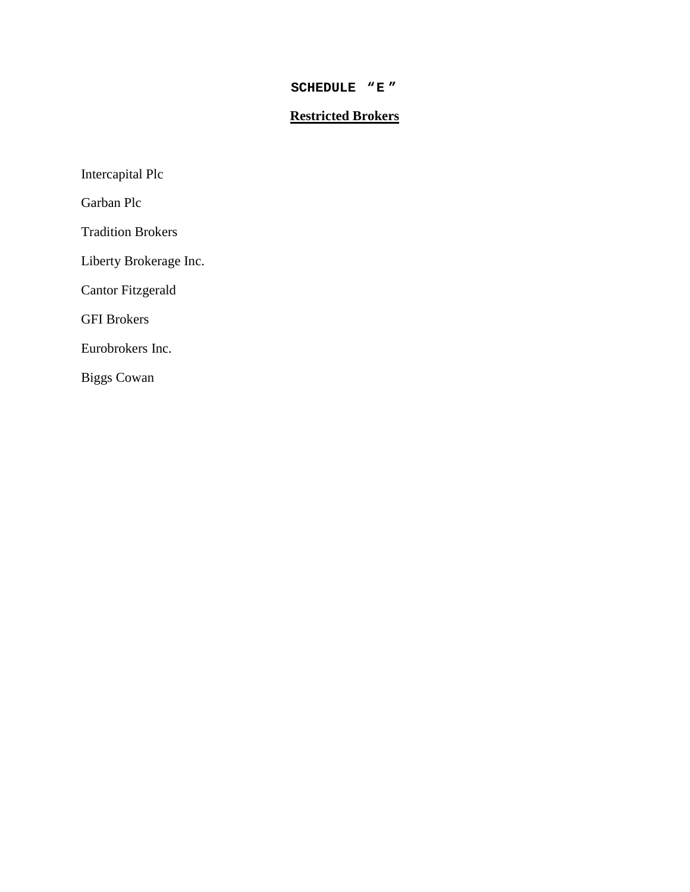### **SCHEDULE "E "**

## **Restricted Brokers**

Intercapital Plc

Garban Plc

Tradition Brokers

Liberty Brokerage Inc.

Cantor Fitzgerald

GFI Brokers

Eurobrokers Inc.

Biggs Cowan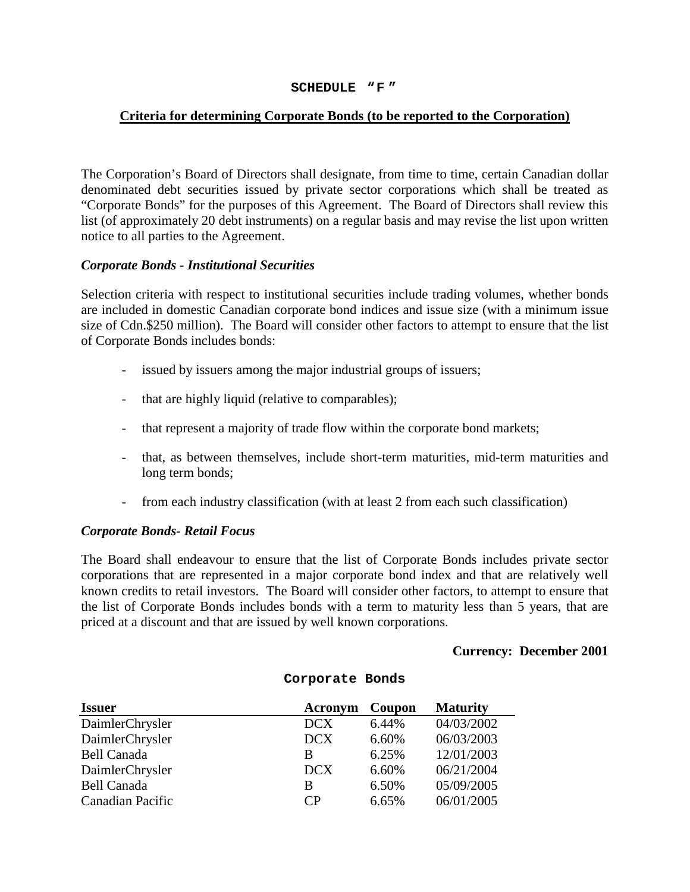#### **SCHEDULE "F "**

#### **Criteria for determining Corporate Bonds (to be reported to the Corporation)**

The Corporation's Board of Directors shall designate, from time to time, certain Canadian dollar denominated debt securities issued by private sector corporations which shall be treated as "Corporate Bonds" for the purposes of this Agreement. The Board of Directors shall review this list (of approximately 20 debt instruments) on a regular basis and may revise the list upon written notice to all parties to the Agreement.

#### *Corporate Bonds - Institutional Securities*

Selection criteria with respect to institutional securities include trading volumes, whether bonds are included in domestic Canadian corporate bond indices and issue size (with a minimum issue size of Cdn.\$250 million). The Board will consider other factors to attempt to ensure that the list of Corporate Bonds includes bonds:

- issued by issuers among the major industrial groups of issuers;
- that are highly liquid (relative to comparables);
- that represent a majority of trade flow within the corporate bond markets;
- that, as between themselves, include short-term maturities, mid-term maturities and long term bonds;
- from each industry classification (with at least 2 from each such classification)

#### *Corporate Bonds- Retail Focus*

The Board shall endeavour to ensure that the list of Corporate Bonds includes private sector corporations that are represented in a major corporate bond index and that are relatively well known credits to retail investors. The Board will consider other factors, to attempt to ensure that the list of Corporate Bonds includes bonds with a term to maturity less than 5 years, that are priced at a discount and that are issued by well known corporations.

#### **Currency: December 2001**

| <b>Issuer</b>           | Acronym         | Coupon | <b>Maturity</b> |
|-------------------------|-----------------|--------|-----------------|
| DaimlerChrysler         | <b>DCX</b>      | 6.44%  | 04/03/2002      |
| DaimlerChrysler         | <b>DCX</b>      | 6.60%  | 06/03/2003      |
| <b>Bell Canada</b>      | B               | 6.25%  | 12/01/2003      |
| DaimlerChrysler         | <b>DCX</b>      | 6.60%  | 06/21/2004      |
| <b>Bell Canada</b>      | B               | 6.50%  | 05/09/2005      |
| <b>Canadian Pacific</b> | $\overline{CP}$ | 6.65%  | 06/01/2005      |

#### **Corporate Bonds**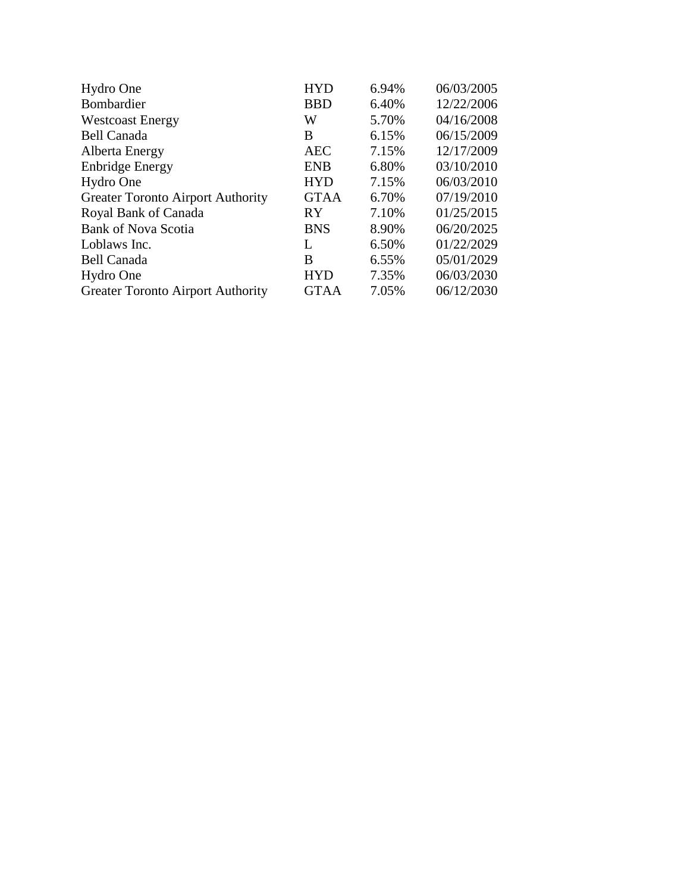| Hydro One                                | <b>HYD</b>  | 6.94% | 06/03/2005 |
|------------------------------------------|-------------|-------|------------|
| Bombardier                               | <b>BBD</b>  | 6.40% | 12/22/2006 |
| <b>Westcoast Energy</b>                  | W           | 5.70% | 04/16/2008 |
| <b>Bell Canada</b>                       | B           | 6.15% | 06/15/2009 |
| Alberta Energy                           | <b>AEC</b>  | 7.15% | 12/17/2009 |
| <b>Enbridge Energy</b>                   | <b>ENB</b>  | 6.80% | 03/10/2010 |
| Hydro One                                | <b>HYD</b>  | 7.15% | 06/03/2010 |
| <b>Greater Toronto Airport Authority</b> | <b>GTAA</b> | 6.70% | 07/19/2010 |
| Royal Bank of Canada                     | RY.         | 7.10% | 01/25/2015 |
| <b>Bank of Nova Scotia</b>               | <b>BNS</b>  | 8.90% | 06/20/2025 |
| Loblaws Inc.                             | L           | 6.50% | 01/22/2029 |
| <b>Bell Canada</b>                       | B           | 6.55% | 05/01/2029 |
| Hydro One                                | <b>HYD</b>  | 7.35% | 06/03/2030 |
| <b>Greater Toronto Airport Authority</b> | <b>GTAA</b> | 7.05% | 06/12/2030 |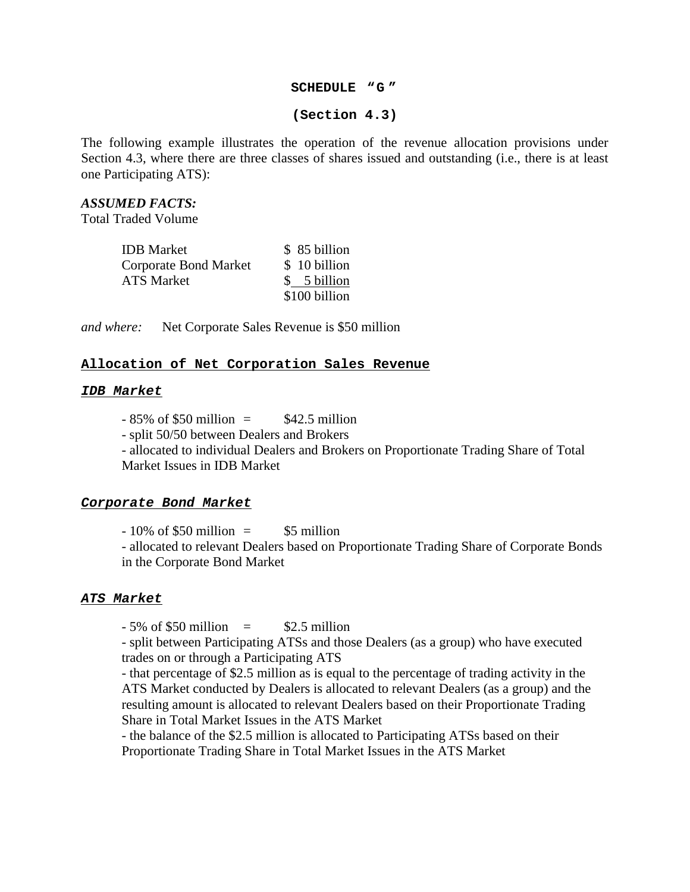#### **SCHEDULE "G "**

#### **(Section 4.3)**

The following example illustrates the operation of the revenue allocation provisions under Section 4.3, where there are three classes of shares issued and outstanding (i.e., there is at least one Participating ATS):

#### *ASSUMED FACTS:*

Total Traded Volume

| IDB Market            | \$ 85 billion |
|-----------------------|---------------|
| Corporate Bond Market | \$10 billion  |
| ATS Market            | \$ 5 billion  |
|                       | \$100 billion |

*and where:* Net Corporate Sales Revenue is \$50 million

#### **Allocation of Net Corporation Sales Revenue**

#### **IDB Market**

- $-85\%$  of \$50 million  $=$  \$42.5 million
- split 50/50 between Dealers and Brokers

- allocated to individual Dealers and Brokers on Proportionate Trading Share of Total Market Issues in IDB Market

#### **Corporate Bond Market**

 $-10\%$  of \$50 million  $=$  \$5 million

- allocated to relevant Dealers based on Proportionate Trading Share of Corporate Bonds in the Corporate Bond Market

#### **ATS Market**

 $-5\%$  of \$50 million  $=$  \$2.5 million

- split between Participating ATSs and those Dealers (as a group) who have executed trades on or through a Participating ATS

- that percentage of \$2.5 million as is equal to the percentage of trading activity in the ATS Market conducted by Dealers is allocated to relevant Dealers (as a group) and the resulting amount is allocated to relevant Dealers based on their Proportionate Trading Share in Total Market Issues in the ATS Market

- the balance of the \$2.5 million is allocated to Participating ATSs based on their Proportionate Trading Share in Total Market Issues in the ATS Market